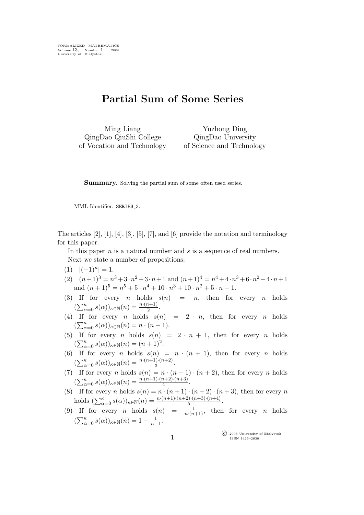## Partial Sum of Some Series

Ming Liang QingDao QiuShi College of Vocation and Technology

Yuzhong Ding QingDao University of Science and Technology

Summary. Solving the partial sum of some often used series.

MML Identifier: SERIES 2.

The articles [2], [1], [4], [3], [5], [7], and [6] provide the notation and terminology for this paper.

In this paper  $n$  is a natural number and  $s$  is a sequence of real numbers. Next we state a number of propositions:

- $(1)$   $|(-1)^n| = 1.$
- (2)  $(n+1)^3 = n^3 + 3 \cdot n^2 + 3 \cdot n + 1$  and  $(n+1)^4 = n^4 + 4 \cdot n^3 + 6 \cdot n^2 + 4 \cdot n + 1$ and  $(n+1)^5 = n^5 + 5 \cdot n^4 + 10 \cdot n^3 + 10 \cdot n^2 + 5 \cdot n + 1$ .
- (3) If for every *n* holds  $s(n) = n$ , then for every *n* holds  $(\sum_{\alpha=0}^{\kappa} s(\alpha))_{\kappa \in \mathbb{N}}(n) = \frac{n \cdot (n+1)}{2}.$
- (4) If for every *n* holds  $s(n) = 2 \cdot n$ , then for every *n* holds  $(\sum_{\alpha=0}^{\kappa} s(\alpha))_{\kappa \in \mathbb{N}}(n) = n \cdot (n+1).$
- (5) If for every *n* holds  $s(n) = 2 \cdot n + 1$ , then for every *n* holds  $\left(\sum_{\alpha=0}^{\kappa} s(\alpha)\right)_{\kappa \in \mathbb{N}} (n) = (n+1)^2.$
- (6) If for every *n* holds  $s(n) = n \cdot (n + 1)$ , then for every *n* holds  $(\sum_{\alpha=0}^{\kappa} s(\alpha))_{\kappa \in \mathbb{N}} (n) = \frac{n \cdot (n+1) \cdot (n+2)}{3}.$
- (7) If for every n holds  $s(n) = n \cdot (n+1) \cdot (n+2)$ , then for every n holds  $(\sum_{\alpha=0}^{\kappa} s(\alpha))_{\kappa \in \mathbb{N}}(n) = \frac{n(n+1)(n+2)(n+3)}{4}.$
- (8) If for every *n* holds  $s(n) = n \cdot (n+1) \cdot (n+2) \cdot (n+3)$ , then for every *n* holds  $(\sum_{\alpha=0}^{\kappa} s(\alpha))_{\kappa \in \mathbb{N}} (n) = \frac{n \cdot (n+1) \cdot (n+2) \cdot (n+3) \cdot (n+4)}{5}$ .
- (9) If for every *n* holds  $s(n) = \frac{1}{n(n+1)}$ , then for every *n* holds  $(\sum_{\alpha=0}^{\kappa} s(\alpha))_{\kappa \in \mathbb{N}}(n) = 1 - \frac{1}{n+1}.$

 $\left( \widehat{C} \right)$  2005 University of Białystok ISSN 1426–2630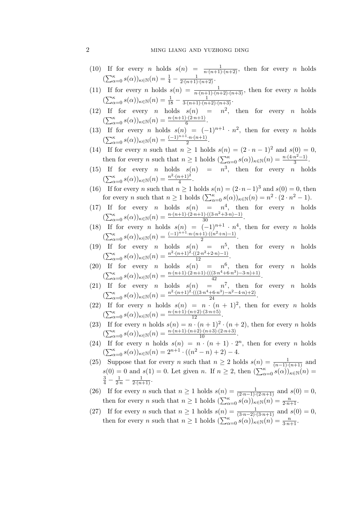## 2 ming liang and yuzhong ding

- (10) If for every *n* holds  $s(n) = \frac{1}{n \cdot (n+1) \cdot (n+2)}$ , then for every *n* holds  $(\sum_{\alpha=0}^{\kappa} s(\alpha))_{\kappa \in \mathbb{N}}(n) = \frac{1}{4} - \frac{1}{2(n+1)(n+2)}.$
- (11) If for every *n* holds  $s(n) = \frac{1}{n \cdot (n+1) \cdot (n+2) \cdot (n+3)}$ , then for every *n* holds  $(\sum_{\alpha=0}^{\kappa} s(\alpha))_{\kappa \in \mathbb{N}}(n) = \frac{1}{18} - \frac{1}{3(n+1)\cdot(n+2)\cdot(n+3)}.$
- (12) If for every *n* holds  $s(n) = n^2$ , then for every *n* holds  $(\sum_{\alpha=0}^{\kappa} s(\alpha))_{\kappa \in \mathbb{N}} (n) = \frac{n \cdot (n+1) \cdot (2 \cdot n + 1)}{6}.$
- (13) If for every *n* holds  $s(n) = (-1)^{n+1} \cdot n^2$ , then for every *n* holds  $(\sum_{\alpha=0}^{\kappa} s(\alpha))_{\kappa \in \mathbb{N}} (n) = \frac{(-1)^{n+1} \cdot n \cdot (n+1)}{2}$  $\frac{n(n+1)}{2}$ .
- (14) If for every n such that  $n \ge 1$  holds  $s(n) = (2 \cdot n 1)^2$  and  $s(0) = 0$ , then for every *n* such that  $n \geq 1$  holds  $(\sum_{\alpha=0}^{\kappa} s(\alpha))_{\kappa \in \mathbb{N}}(n) = \frac{n \cdot (4 \cdot n^2 - 1)}{3}$  $\frac{n-1}{3}$ .
- (15) If for every *n* holds  $s(n) = n^3$ , then for every *n* holds  $(\sum_{\alpha=0}^{\kappa} s(\alpha))_{\kappa \in \mathbb{N}}(n) = \frac{n^2 \cdot (n+1)^2}{4}$  $\frac{i+1j}{4}$ .
- (16) If for every n such that  $n \ge 1$  holds  $s(n) = (2 \cdot n 1)^3$  and  $s(0) = 0$ , then for every *n* such that  $n \ge 1$  holds  $(\sum_{\alpha=0}^{\kappa} s(\alpha))_{\kappa \in \mathbb{N}} (n) = n^2 \cdot (2 \cdot n^2 - 1)$ .
- (17) If for every *n* holds  $s(n) = n^4$ , then for every *n* holds  $(\sum_{\alpha=0}^{\kappa} s(\alpha))_{\kappa \in \mathbb{N}}(n) = \frac{n \cdot (n+1) \cdot (2 \cdot n+1) \cdot ((3 \cdot n^2 + 3 \cdot n) - 1)}{30}.$
- (18) If for every *n* holds  $s(n) = (-1)^{n+1} \cdot n^4$ , then for every *n* holds  $(\sum_{\alpha=0}^{\kappa} s(\alpha))_{\kappa \in \mathbb{N}} (n) = \frac{(-1)^{n+1} \cdot n \cdot (n+1) \cdot ((n^2+n)-1)}{2}$  $\frac{\Gamma_1\Gamma((n+n)-1)}{2}$ .
- (19) If for every *n* holds  $s(n) = n^5$ , then for every *n* holds  $(\sum_{\alpha=0}^{\kappa} s(\alpha))_{\kappa \in \mathbb{N}}(n) = \frac{n^2 \cdot (n+1)^2 \cdot ((2 \cdot n^2 + 2 \cdot n) - 1)}{12}.$
- (20) If for every *n* holds  $s(n) = n^6$ , then for every *n* holds  $(\sum_{\alpha=0}^{\kappa} s(\alpha))_{\kappa \in \mathbb{N}} (n) = \frac{n \cdot (n+1) \cdot (2 \cdot n+1) \cdot ((3 \cdot n^4 + 6 \cdot n^3) - 3 \cdot n) + 1)}{42}.$
- (21) If for every *n* holds  $s(n) = n^7$ , then for every *n* holds  $(\sum_{\alpha=0}^{\kappa} s(\alpha))_{\kappa \in \mathbb{N}}(n) = \frac{n^2 \cdot (n+1)^2 \cdot (((3 \cdot n^4 + 6 \cdot n^3) - n^2 - 4 \cdot n) + 2)}{24}.$
- (22) If for every *n* holds  $s(n) = n \cdot (n + 1)^2$ , then for every *n* holds  $(\sum_{\alpha=0}^{\kappa} s(\alpha))_{\kappa \in \mathbb{N}} (n) = \frac{n \cdot (n+1) \cdot (n+2) \cdot (3 \cdot n+5)}{12}.$
- (23) If for every *n* holds  $s(n) = n \cdot (n+1)^2 \cdot (n+2)$ , then for every *n* holds  $(\sum_{\alpha=0}^{\kappa} s(\alpha))_{\kappa \in \mathbb{N}}(n) = \frac{n \cdot (n+1) \cdot (n+2) \cdot (n+3) \cdot (2 \cdot n+3)}{10}.$
- (24) If for every *n* holds  $s(n) = n \cdot (n + 1) \cdot 2^n$ , then for every *n* holds  $(\sum_{\alpha=0}^{\kappa} s(\alpha))_{\kappa \in \mathbb{N}}(n) = 2^{n+1} \cdot ((n^2 - n) + 2) - 4.$
- (25) Suppose that for every *n* such that  $n \geq 2$  holds  $s(n) = \frac{1}{(n-1)\cdot(n+1)}$  and  $s(0) = 0$  and  $s(1) = 0$ . Let given n. If  $n \geq 2$ , then  $\left(\sum_{\alpha=0}^{\kappa} s(\alpha)\right)_{\kappa \in \mathbb{N}}(n) =$  $\frac{3}{4} - \frac{1}{2 \cdot n} - \frac{1}{2 \cdot (n+1)}$ .
- (26) If for every *n* such that  $n \ge 1$  holds  $s(n) = \frac{1}{(2\cdot n-1)\cdot(2\cdot n+1)}$  and  $s(0) = 0$ , then for every *n* such that  $n \geq 1$  holds  $\left(\sum_{\alpha=0}^{\kappa} s(\alpha)\right)_{\kappa \in \mathbb{N}}(n) = \frac{n}{2 \cdot n+1}$ .
- (27) If for every *n* such that  $n \ge 1$  holds  $s(n) = \frac{1}{(3 \cdot n 2) \cdot (3 \cdot n + 1)}$  and  $s(0) = 0$ , then for every *n* such that  $n \geq 1$  holds  $\left(\sum_{\alpha=0}^{\kappa} s(\alpha)\right)_{\kappa \in \mathbb{N}}(n) = \frac{n}{3 \cdot n+1}$ .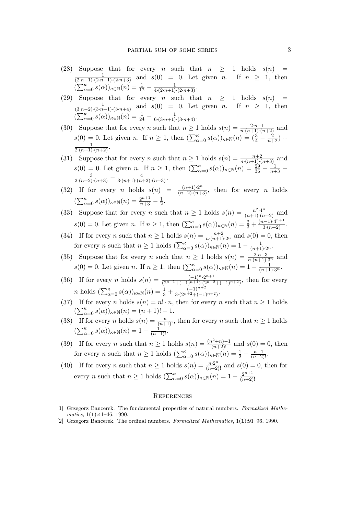- (28) Suppose that for every *n* such that  $n \geq 1$  holds  $s(n)$  $\frac{1}{(2\cdot n-1)\cdot (2\cdot n+1)\cdot (2\cdot n+3)}$  and  $s(0) = 0$ . Let given n. If  $n \geq 1$ , then  $\left(\sum_{\alpha=0}^{\kappa} s(\alpha)\right)_{\kappa \in \mathbb{N}}(n) = \frac{1}{12} - \frac{1}{4\cdot(2\cdot n+1)\cdot(2\cdot n+3)}.$
- (29) Suppose that for every n such that  $n \geq 1$  holds  $s(n)$  =  $\frac{1}{(3\cdot n-2)\cdot (3\cdot n+1)\cdot (3\cdot n+4)}$  and  $s(0) = 0$ . Let given *n*. If  $n \geq 1$ , then  $\left(\sum_{\alpha=0}^{k} s(\alpha)\right)_{\kappa \in \mathbb{N}}(n) = \frac{1}{24} - \frac{1}{6 \cdot (3 \cdot n + 1) \cdot (3 \cdot n + 4)}.$
- (30) Suppose that for every *n* such that  $n \ge 1$  holds  $s(n) = \frac{2 \cdot n 1}{n \cdot (n+1) \cdot (n+2)}$  and  $s(0) = 0$ . Let given n. If  $n \ge 1$ , then  $(\sum_{\alpha=0}^{\kappa} s(\alpha))_{\kappa \in \mathbb{N}}(n) = (\frac{3}{4} - \frac{2}{n+2}) +$  $\frac{1}{2(n+1)(n+2)}$ .
- (31) Suppose that for every *n* such that  $n \ge 1$  holds  $s(n) = \frac{n+2}{n \cdot (n+1) \cdot (n+3)}$  and  $s(0) = 0$ . Let given n. If  $n \ge 1$ , then  $(\sum_{\alpha=0}^{\kappa} s(\alpha))_{\kappa \in \mathbb{N}}(n) = \frac{29}{36} - \frac{1}{n+3} - \frac{3}{2 \cdot (n+2) \cdot (n+3)} - \frac{4}{3 \cdot (n+1) \cdot (n+2) \cdot (n+3)}$ .
- (32) If for every *n* holds  $s(n) = \frac{(n+1)\cdot 2^n}{(n+2)\cdot (n+3)}$ , then for every *n* holds  $(\sum_{\alpha=0}^{\kappa} s(\alpha))_{\kappa \in \mathbb{N}} (n) = \frac{2^{n+1}}{n+3} - \frac{1}{2}$  $rac{1}{2}$ .
- (33) Suppose that for every *n* such that  $n \ge 1$  holds  $s(n) = \frac{n^2 \cdot 4^n}{(n+1) \cdot (n+2)}$  and  $s(0) = 0$ . Let given n. If  $n \geq 1$ , then  $\left(\sum_{\alpha=0}^{\kappa} s(\alpha)\right)_{\kappa \in \mathbb{N}}(n) = \frac{2}{3} + \frac{(n-1)\cdot 4^{n+1}}{3\cdot (n+2)}$ .
- (34) If for every *n* such that  $n \ge 1$  holds  $s(n) = \frac{n+2}{n \cdot (n+1) \cdot 2^n}$  and  $s(0) = 0$ , then for every n such that  $n \geq 1$  holds  $\left(\sum_{\alpha=0}^{\kappa} s(\alpha)\right)_{\kappa \in \mathbb{N}}(n) = 1 - \frac{1}{(n+1)\cdot 2^n}$ .
- (35) Suppose that for every n such that  $n \geq 1$  holds  $s(n) = \frac{2 \cdot n + 3}{n \cdot (n+1) \cdot 3^n}$  and  $s(0) = 0$ . Let given n. If  $n \geq 1$ , then  $\left(\sum_{\alpha=0}^{\kappa} s(\alpha)\right)_{\kappa \in \mathbb{N}}(n) = 1 - \frac{1}{(n+1)\cdot 3^n}$ .
- (36) If for every *n* holds  $s(n) = \frac{(-1)^n \cdot 2^{n+1}}{(2n+1+(-1)^{n+1}) \cdot (2n+2)}$  $\frac{(-1)^{n+1}}{(2^{n+1}+(-1)^{n+1})\cdot(2^{n+2}+(-1)^{n+2})}$ , then for every n holds  $(\sum_{\alpha=0}^{\kappa} s(\alpha))_{\kappa \in \mathbb{N}}(n) = \frac{1}{3} + \frac{(-1)^{n+2}}{3 \cdot (2^{n+2} + (-1))}$  $\frac{(-1)}{3\cdot(2^{n+2}+(-1)^{n+2})}$ .
- (37) If for every n holds  $s(n) = n! \cdot n$ , then for every n such that  $n \ge 1$  holds  $(\sum_{\alpha=0}^{\kappa} s(\alpha))_{\kappa \in \mathbb{N}}(n) = (n+1)! - 1.$
- (38) If for every *n* holds  $s(n) = \frac{n}{(n+1)!}$ , then for every *n* such that  $n \ge 1$  holds  $(\sum_{\alpha=0}^{\kappa} s(\alpha))_{\kappa \in \mathbb{N}}(n) = 1 - \frac{1}{(n+1)!}.$
- (39) If for every *n* such that  $n \ge 1$  holds  $s(n) = \frac{(n^2+n)-1}{(n+2)!}$  and  $s(0) = 0$ , then for every *n* such that  $n \geq 1$  holds  $\left(\sum_{\alpha=0}^{\kappa} s(\alpha)\right)_{\kappa \in \mathbb{N}} (n) = \frac{1}{2} - \frac{n+1}{(n+2)!}$ .
- (40) If for every *n* such that  $n \ge 1$  holds  $s(n) = \frac{n \cdot 2^n}{(n+2)!}$  and  $s(0) = 0$ , then for every *n* such that  $n \geq 1$  holds  $\left(\sum_{\alpha=0}^{\kappa} s(\alpha)\right)_{\kappa \in \mathbb{N}} (n) = 1 - \frac{2^{n+1}}{(n+2)!}$ .

## **REFERENCES**

- [1] Grzegorz Bancerek. The fundamental properties of natural numbers. Formalized Mathematics,  $1(1):41-46$ , 1990.
- [2] Grzegorz Bancerek. The ordinal numbers. Formalized Mathematics, 1(1):91–96, 1990.